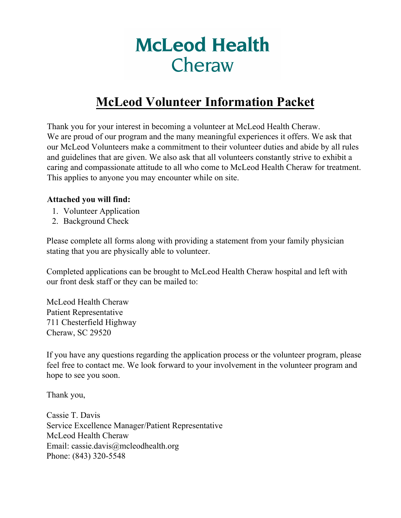# **McLeod Health** Cheraw

### **McLeod Volunteer Information Packet**

Thank you for your interest in becoming a volunteer at McLeod Health Cheraw. We are proud of our program and the many meaningful experiences it offers. We ask that our McLeod Volunteers make a commitment to their volunteer duties and abide by all rules and guidelines that are given. We also ask that all volunteers constantly strive to exhibit a caring and compassionate attitude to all who come to McLeod Health Cheraw for treatment. This applies to anyone you may encounter while on site.

#### **Attached you will find:**

- 1. Volunteer Application
- 2. Background Check

Please complete all forms along with providing a statement from your family physician stating that you are physically able to volunteer.

Completed applications can be brought to McLeod Health Cheraw hospital and left with our front desk staff or they can be mailed to:

McLeod Health Cheraw Patient Representative 711 Chesterfield Highway Cheraw, SC 29520

If you have any questions regarding the application process or the volunteer program, please feel free to contact me. We look forward to your involvement in the volunteer program and hope to see you soon.

Thank you,

Cassie T. Davis Service Excellence Manager/Patient Representative McLeod Health Cheraw Email: cassie.davis@mcleodhealth.org Phone: (843) 320-5548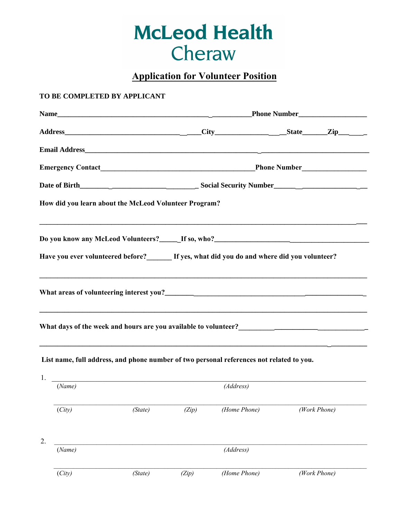## **McLeod Health** Cheraw

**Application for Volunteer Position**

#### **TO BE COMPLETED BY APPLICANT**

|        | How did you learn about the McLeod Volunteer Program? |       |                                                                                           |              |  |  |
|--------|-------------------------------------------------------|-------|-------------------------------------------------------------------------------------------|--------------|--|--|
|        |                                                       |       | Do you know any McLeod Volunteers?______If so, who?______________________________         |              |  |  |
|        |                                                       |       | Have you ever volunteered before?<br>If yes, what did you do and where did you volunteer? |              |  |  |
|        |                                                       |       |                                                                                           |              |  |  |
|        |                                                       |       |                                                                                           |              |  |  |
|        |                                                       |       |                                                                                           |              |  |  |
|        |                                                       |       |                                                                                           |              |  |  |
|        |                                                       |       |                                                                                           |              |  |  |
|        |                                                       |       | List name, full address, and phone number of two personal references not related to you.  |              |  |  |
|        | 1. <u>___________________________________</u>         |       |                                                                                           |              |  |  |
| (Name) |                                                       |       | (Address)                                                                                 |              |  |  |
| (City) | (State)                                               | (Zip) | (Home Phone)                                                                              | (Work Phone) |  |  |
|        |                                                       |       |                                                                                           |              |  |  |
| 2.     |                                                       |       |                                                                                           |              |  |  |
| (Name) |                                                       |       | (Address)                                                                                 |              |  |  |
| (City) | (State)                                               | (Zip) | (Home Phone)                                                                              | (Work Phone) |  |  |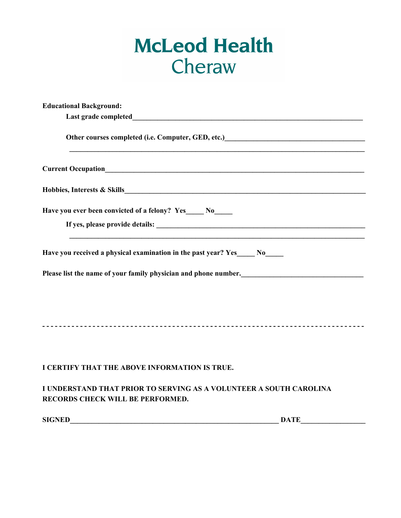# **McLeod Health** Cheraw

| <b>Educational Background:</b>                                                                                                                                                                                                                |  |
|-----------------------------------------------------------------------------------------------------------------------------------------------------------------------------------------------------------------------------------------------|--|
|                                                                                                                                                                                                                                               |  |
| Other courses completed (i.e. Computer, GED, etc.)<br><u>Letter and the courses completed</u> (i.e. Computer, GED, etc.)<br><u>Letter and the contract of the contract of the contract of the contract of the contract of the contract of</u> |  |
|                                                                                                                                                                                                                                               |  |
|                                                                                                                                                                                                                                               |  |
| Have you ever been convicted of a felony? Yes____ No____                                                                                                                                                                                      |  |
|                                                                                                                                                                                                                                               |  |
| Have you received a physical examination in the past year? Yes No                                                                                                                                                                             |  |
| Please list the name of your family physician and phone number.<br><u>Lease list the name of your family physician and phone number.</u>                                                                                                      |  |
|                                                                                                                                                                                                                                               |  |
|                                                                                                                                                                                                                                               |  |
|                                                                                                                                                                                                                                               |  |
|                                                                                                                                                                                                                                               |  |
| I CERTIFY THAT THE ABOVE INFORMATION IS TRUE.                                                                                                                                                                                                 |  |
| I UNDERSTAND THAT PRIOR TO SERVING AS A VOLUNTEER A SOUTH CAROLINA<br>RECORDS CHECK WILL BE PERFORMED.                                                                                                                                        |  |
| <b>SIGNED</b><br><b>DATE DATE</b>                                                                                                                                                                                                             |  |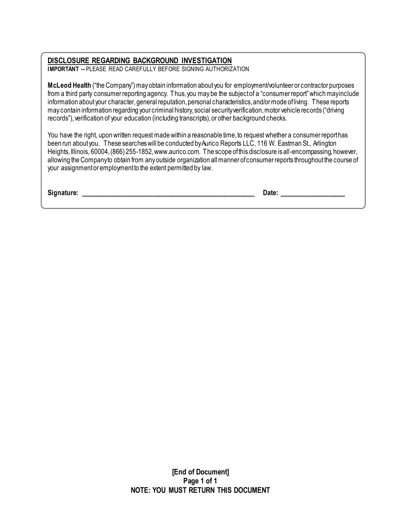#### **DISCLOSURE REGARDING BACKGROUND INVESTIGATION**

**IMPORTANT --** PLEASE READ CAREFULLY BEFORE SIGNING AUTHORIZATION

**McLeod Health** ("the Company") may obtain information about you for employment/volunteer or contractor purposes from a third party consumer reporting agency. Thus, you may be the subject of a "consumer report" which may include information about your character, general reputation, personal characteristics, and/or mode of living. These reports may contain information regarding your criminal history, social security verification, motor vehicle records ("driving records"), verification of your education (including transcripts), or other background checks.

You have the right, upon written request made within a reasonable time, to request whether a consumer report has been run about you. These searches will be conducted by Aurico Reports LLC, 116 W. Eastman St., Arlington Heights, Illinois, 60004, (866) 255-1852, www.aurico.com. The scope of this disclosure is all-encompassing, however, allowing the Company to obtain from any outside organization all manner of consumer reports throughout the course of your assignment or employment to the extent permitted by law.

**Signature: Constant Constant Constant Constant Constant Constant Constant Constant Constant Constant Constant Constant Constant Constant Constant Constant Constant Constant Constant Constant Constant Constant Constant C**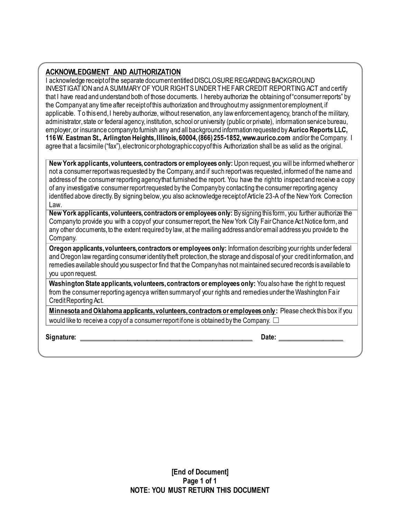#### **ACKNOWLEDGMENT AND AUTHORIZATION**

I acknowledge receipt of the separate document entitled DISCLOSURE REGARDING BACKGROUND INVESTIGATION and A SUMMARY OF YOUR RIGHTS UNDER THE FAIR CREDIT REPORTING ACT and certify that I have read and understand both of those documents. I hereby authorize the obtaining of "consumer reports" by the Companyat any time after receipt of this authorization and throughout my assignment or employment, if applicable. To this end, I hereby authorize, without reservation, any law enforcement agency, branch of the military, administrator, state or federal agency, institution, school or university (public or private), information service bureau, employer, or insurance company to furnish any and all background information requested by **Aurico Reports LLC, 116 W. Eastman St., Arlington Heights, Illinois, 60004, (866) 255-1852, www.aurico.com** and/orthe Company. I agree that a facsimile ("fax"), electronic or photographic copy of this Authorization shall be as valid as the original.

**New York applicants, volunteers, contractors or employees only:** Upon request, you will be informed whether or not a consumer report was requested by the Company, and if such report was requested, informed of the name and address of the consumer reporting agency that furnished the report. You have the right to inspect and receive a copy of any investigative consumer report requested by the Company by contacting the consumer reporting agency identified above directly.By signing below, you also acknowledge receipt of Article 23-A of the New York Correction Law.

**New York applicants, volunteers, contractors or employees only:** By signing this form, you further authorize the Company to provide you with a copy of your consumer report, the New York City Fair Chance Act Notice form, and any other documents, to the extent required by law, at the mailing address and/or email address you provide to the Company.

**Oregon applicants, volunteers, contractors or employees only:** Information describing your rights under federal and Oregon law regarding consumer identity theft protection, the storage and disposal of your credit information, and remedies available should you suspect or find that the Company has not maintained secured records is available to you upon request.

**Washington State applicants, volunteers, contractors or employees only:** You also have the right to request from the consumer reporting agency a written summary of your rights and remedies under the Washington Fair Credit Reporting Act.

**Minnesota and Oklahoma applicants, volunteers, contractors or employees only:** Please check this box if you would like to receive a copy of a consumer report if one is obtained by the Company.  $\Box$ 

**Signature: \_\_\_\_\_\_\_\_\_\_\_\_\_\_\_\_\_\_\_\_\_\_\_\_\_\_\_\_\_\_\_\_\_\_\_\_\_\_\_\_\_\_\_\_\_\_\_\_\_\_\_\_ Date: \_\_\_\_\_\_\_\_\_\_\_\_\_\_\_\_\_\_\_**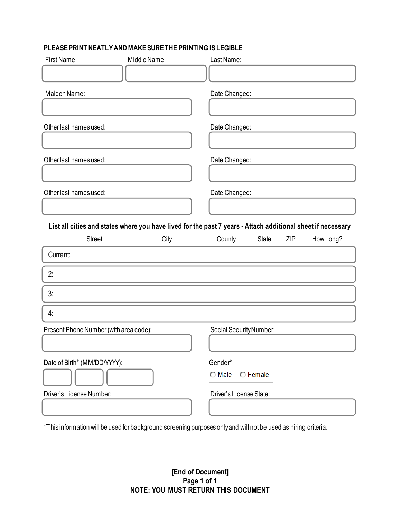#### **PLEASE PRINT NEATLY AND MAKE SURE THE PRINTING IS LEGIBLE**

| First Name:                            | Middle Name:                                                                                                | Last Name:              |                 |     |           |
|----------------------------------------|-------------------------------------------------------------------------------------------------------------|-------------------------|-----------------|-----|-----------|
|                                        |                                                                                                             |                         |                 |     |           |
| Maiden Name:                           |                                                                                                             | Date Changed:           |                 |     |           |
|                                        |                                                                                                             |                         |                 |     |           |
| Other last names used:                 |                                                                                                             | Date Changed:           |                 |     |           |
|                                        |                                                                                                             |                         |                 |     |           |
| Other last names used:                 |                                                                                                             | Date Changed:           |                 |     |           |
|                                        |                                                                                                             |                         |                 |     |           |
| Other last names used:                 |                                                                                                             | Date Changed:           |                 |     |           |
|                                        |                                                                                                             |                         |                 |     |           |
|                                        | List all cities and states where you have lived for the past 7 years - Attach additional sheet if necessary |                         |                 |     |           |
| <b>Street</b>                          | City                                                                                                        | County                  | State           | ZIP | How Long? |
|                                        |                                                                                                             |                         |                 |     |           |
| Current:                               |                                                                                                             |                         |                 |     |           |
| 2:                                     |                                                                                                             |                         |                 |     |           |
| 3:                                     |                                                                                                             |                         |                 |     |           |
| 4:                                     |                                                                                                             |                         |                 |     |           |
| Present Phone Number (with area code): |                                                                                                             | Social Security Number: |                 |     |           |
|                                        |                                                                                                             |                         |                 |     |           |
| Date of Birth* (MM/DD/YYYY):           |                                                                                                             | Gender*                 |                 |     |           |
|                                        |                                                                                                             | <b>O</b> Male           | <b>C</b> Female |     |           |
| Driver's License Number:               |                                                                                                             | Driver's License State: |                 |     |           |

\*This information will be used for background screening purposes only and will not be used as hiring criteria.

**[End of Document] Page 1 of 1 NOTE: YOU MUST RETURN THIS DOCUMENT**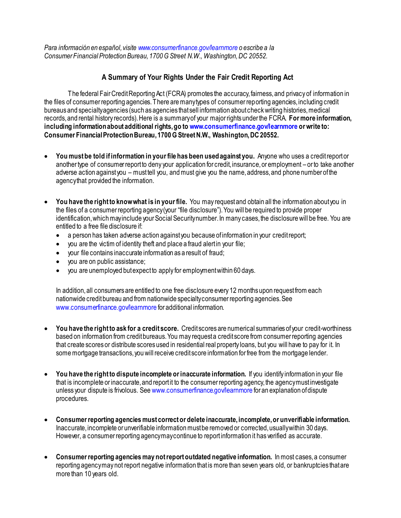*Para información en español, visite www.consumerfinance.gov/learnmore o escribe a la Consumer Financial Protection Bureau, 1700 G Street N.W., Washington, DC 20552.*

#### **A Summary of Your Rights Under the Fair Credit Reporting Act**

The federal Fair Credit Reporting Act (FCRA) promotes the accuracy, fairness, and privacy of information in the files of consumer reporting agencies. There are many types of consumer reporting agencies, including credit bureaus and specialty agencies (such as agencies that sell information about check writing histories, medical records, and rental history records). Here is a summary of your major rights under the FCRA. **For more information, including information about additional rights, go to www.consumerfinance.gov/learnmore or write to: Consumer Financial Protection Bureau, 1700 G Street N.W., Washington, DC 20552.**

- **You must be told if information in your file has been used against you.** Anyone who uses a credit report or another type of consumer report to deny your application for credit, insurance, or employment – or to take another adverse action against you – must tell you, and must give you the name, address, and phone number of the agency that provided the information.
- **You have the right to know what is in your file.** You may request and obtain all the information about you in the files of a consumer reporting agency (your "file disclosure"). You will be required to provide proper identification, which may include your Social Security number. In many cases, the disclosure will be free. You are entitled to a free file disclosure if:
	- a person has taken adverse action against you because of information in your credit report;
	- you are the victim of identity theft and place a fraud alert in your file;
	- your file contains inaccurate information as a result of fraud;
	- you are on public assistance;
	- you are unemployed but expect to apply for employment within 60 days.

In addition, all consumers are entitled to one free disclosure every 12 months upon request from each nationwide credit bureau and from nationwide specialty consumer reporting agencies. See www.consumerfinance.gov/learnmore for additional information.

- **You have the right to ask for a credit score.** Credit scores are numerical summaries of your credit-worthiness based on information from credit bureaus. You may request a credit score from consumer reporting agencies that create scores or distribute scores used in residential real property loans, but you will have to pay for it. In some mortgage transactions, you will receive credit score information for free from the mortgage lender.
- **You have the right to dispute incomplete or inaccurate information.** If you identify information in your file that is incomplete or inaccurate, and report it to the consumer reporting agency, the agency must investigate unless your dispute is frivolous. See www.consumerfinance.gov/learnmore for an explanation of dispute procedures.
- **Consumer reporting agencies must correct or delete inaccurate, incomplete, or unverifiable information.** Inaccurate, incomplete or unverifiable information must be removed or corrected, usually within 30 days. However, a consumer reporting agency may continue to report information it has verified as accurate.
- **Consumer reporting agencies may not report outdated negative information.** In most cases, a consumer reporting agency may not report negative information that is more than seven years old, or bankruptcies that are more than 10 years old.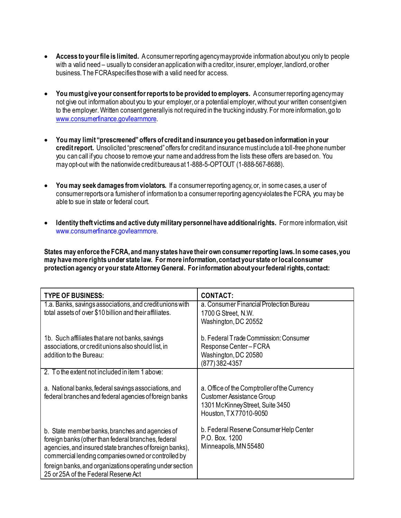- **Access to your file is limited.** A consumer reporting agency may provide information about you only to people with a valid need – usually to consider an application with a creditor, insurer, employer, landlord, or other business. The FCRA specifies those with a valid need for access.
- **You must give your consent for reports to be provided to employers.** A consumer reporting agency may not give out information about you to your employer, or a potential employer, without your written consent given to the employer. Written consent generally is not required in the trucking industry. For more information, go to [www.consumerfinance.gov/learnmore.](http://www.consumerfinance.gov/learnmore)
- **You may limit "prescreened" offers of credit and insurance you get based on information in your credit report.** Unsolicited "prescreened" offers for credit and insurance must include a toll-free phone number you can call if you choose to remove your name and address from the lists these offers are based on. You may opt-out with the nationwide credit bureaus at 1-888-5-OPTOUT (1-888-567-8688).
- **You may seek damages from violators.** If a consumer reporting agency, or, in some cases, a user of consumer reports or a furnisher of information to a consumer reporting agency violates the FCRA, you may be able to sue in state or federal court.
- **Identity theft victims and active duty military personnel have additional rights.** For more information, visit www.consumerfinance.gov/learnmore.

**States may enforce the FCRA, and many states have their own consumer reporting laws. In some cases, you may have more rights under state law. For more information, contact your state or local consumer protection agency or your state Attorney General. For information about your federal rights, contact:**

| <b>TYPE OF BUSINESS:</b>                                                                                                                                                                                                                                                                                                     | <b>CONTACT:</b>                                                                                                                        |
|------------------------------------------------------------------------------------------------------------------------------------------------------------------------------------------------------------------------------------------------------------------------------------------------------------------------------|----------------------------------------------------------------------------------------------------------------------------------------|
| 1.a. Banks, savings associations, and credit unions with<br>total assets of over \$10 billion and their affiliates.                                                                                                                                                                                                          | a. Consumer Financial Protection Bureau<br>1700 G Street, N.W.<br>Washington, DC 20552                                                 |
| 1b. Such affiliates that are not banks, savings<br>associations, or credit unions also should list, in<br>addition to the Bureau:                                                                                                                                                                                            | b. Federal Trade Commission: Consumer<br>Response Center-FCRA<br>Washington, DC 20580<br>(877) 382-4357                                |
| 2. To the extent not included in item 1 above:                                                                                                                                                                                                                                                                               |                                                                                                                                        |
| a. National banks, federal savings associations, and<br>federal branches and federal agencies of foreign banks                                                                                                                                                                                                               | a. Office of the Comptroller of the Currency<br>Customer Assistance Group<br>1301 McKinney Street, Suite 3450<br>Houston, TX77010-9050 |
| b. State member banks, branches and agencies of<br>foreign banks (other than federal branches, federal<br>agencies, and insured state branches of foreign banks),<br>commercial lending companies owned or controlled by<br>foreign banks, and organizations operating under section<br>25 or 25A of the Federal Reserve Act | b. Federal Reserve Consumer Help Center<br>P.O. Box. 1200<br>Minneapolis, MN 55480                                                     |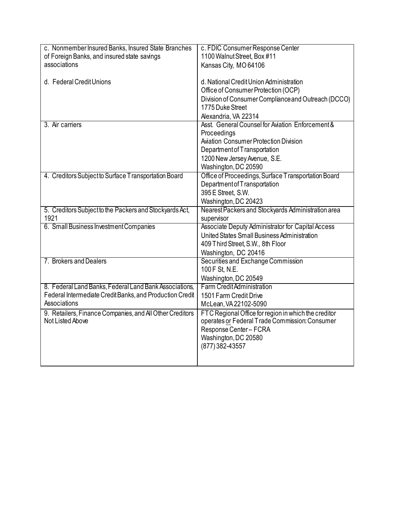| c. Nonmember Insured Banks, Insured State Branches       | c. FDIC Consumer Response Center                     |  |  |
|----------------------------------------------------------|------------------------------------------------------|--|--|
| of Foreign Banks, and insured state savings              | 1100 Walnut Street, Box #11                          |  |  |
| associations                                             | Kansas City, MO 64106                                |  |  |
|                                                          |                                                      |  |  |
| d. Federal Credit Unions                                 | d. National Credit Union Administration              |  |  |
|                                                          | Office of Consumer Protection (OCP)                  |  |  |
|                                                          | Division of Consumer Compliance and Outreach (DCCO)  |  |  |
|                                                          | 1775 Duke Street                                     |  |  |
|                                                          | Alexandria, VA 22314                                 |  |  |
| 3. Air carriers                                          | Asst. General Counsel for Aviation Enforcement &     |  |  |
|                                                          | Proceedings                                          |  |  |
|                                                          | <b>Aviation Consumer Protection Division</b>         |  |  |
|                                                          | Department of Transportation                         |  |  |
|                                                          | 1200 New Jersey Avenue, S.E.                         |  |  |
|                                                          | Washington, DC 20590                                 |  |  |
| 4. Creditors Subject to Surface Transportation Board     | Office of Proceedings, Surface Transportation Board  |  |  |
|                                                          | Department of Transportation                         |  |  |
|                                                          | 395 E Street, S.W.                                   |  |  |
|                                                          | Washington, DC 20423                                 |  |  |
| 5. Creditors Subject to the Packers and Stockyards Act,  | Nearest Packers and Stockyards Administration area   |  |  |
| 1921                                                     | supervisor                                           |  |  |
| 6. Small Business Investment Companies                   | Associate Deputy Administrator for Capital Access    |  |  |
|                                                          | United States Small Business Administration          |  |  |
|                                                          | 409 Third Street, S.W., 8th Floor                    |  |  |
|                                                          | Washington, DC 20416                                 |  |  |
| 7. Brokers and Dealers                                   | Securities and Exchange Commission                   |  |  |
|                                                          | 100 F St, N.E.                                       |  |  |
|                                                          | Washington, DC 20549                                 |  |  |
| 8. Federal Land Banks, Federal Land Bank Associations,   | <b>Farm Credit Administration</b>                    |  |  |
| Federal Intermediate Credit Banks, and Production Credit | 1501 Farm Credit Drive                               |  |  |
| Associations                                             | McLean, VA 22102-5090                                |  |  |
| 9. Retailers, Finance Companies, and All Other Creditors | FTC Regional Office for region in which the creditor |  |  |
| Not Listed Above                                         | operates or Federal Trade Commission: Consumer       |  |  |
|                                                          | Response Center - FCRA                               |  |  |
|                                                          | Washington, DC 20580                                 |  |  |
|                                                          | (877) 382-43557                                      |  |  |
|                                                          |                                                      |  |  |
|                                                          |                                                      |  |  |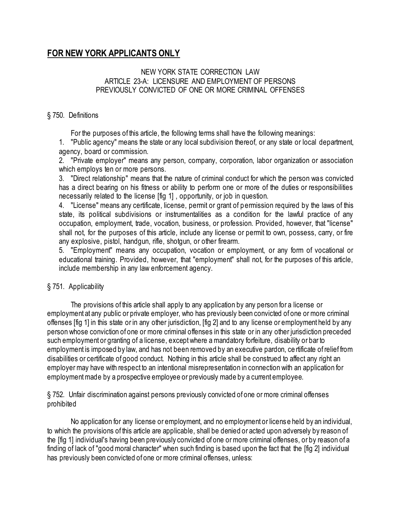### **FOR NEW YORK APPLICANTS ONLY**

#### NEW YORK STATE CORRECTION LAW ARTICLE 23-A: LICENSURE AND EMPLOYMENT OF PERSONS PREVIOUSLY CONVICTED OF ONE OR MORE CRIMINAL OFFENSES

#### § 750. Definitions

For the purposes of this article, the following terms shall have the following meanings:

1. "Public agency" means the state or any local subdivision thereof, or any state or local department, agency, board or commission.

2. "Private employer" means any person, company, corporation, labor organization or association which employs ten or more persons.

3. "Direct relationship" means that the nature of criminal conduct for which the person was convicted has a direct bearing on his fitness or ability to perform one or more of the duties or responsibilities necessarily related to the license [fig 1] , opportunity, or job in question.

4. "License" means any certificate, license, permit or grant of permission required by the laws of this state, its political subdivisions or instrumentalities as a condition for the lawful practice of any occupation, employment, trade, vocation, business, or profession. Provided, however, that "license" shall not, for the purposes of this article, include any license or permit to own, possess, carry, or fire any explosive, pistol, handgun, rifle, shotgun, or other firearm.

5. "Employment" means any occupation, vocation or employment, or any form of vocational or educational training. Provided, however, that "employment" shall not, for the purposes of this article, include membership in any law enforcement agency.

#### § 751. Applicability

The provisions of this article shall apply to any application by any person for a license or employment at any public or private employer, who has previously been convicted of one or more criminal offenses [fig 1] in this state or in any other jurisdiction, [fig 2] and to any license or employment held by any person whose conviction of one or more criminal offenses in this state or in any other jurisdiction preceded such employment or granting of a license, except where a mandatory forfeiture, disability or bar to employment is imposed by law, and has not been removed by an executive pardon, ce rtificate of relief from disabilities or certificate of good conduct. Nothing in this article shall be construed to affect any right an employer may have with respect to an intentional misrepresentation in connection with an application for employment made by a prospective employee or previously made by a current employee.

§ 752. Unfair discrimination against persons previously convicted of one or more criminal offenses prohibited

No application for any license or employment, and no employment or license held by an individual, to which the provisions of this article are applicable, shall be denied or acted upon adversely by reason of the [fig 1] individual's having been previously convicted of one or more criminal offenses, or by reason of a finding of lack of "good moral character" when such finding is based upon the fact that the [fig 2] individual has previously been convicted of one or more criminal offenses, unless: